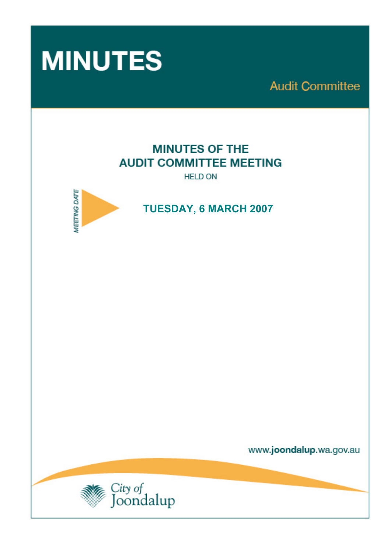

**Audit Committee** 

# **MINUTES OF THE AUDIT COMMITTEE MEETING**

**HELD ON** 



# **TUESDAY, 6 MARCH 2007**

www.joondalup.wa.gov.au

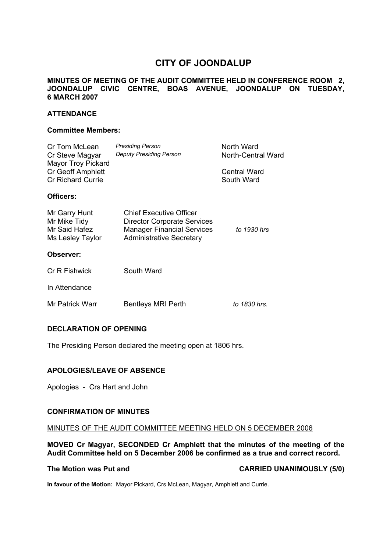## **CITY OF JOONDALUP**

#### **MINUTES OF MEETING OF THE AUDIT COMMITTEE HELD IN CONFERENCE ROOM 2, JOONDALUP CIVIC CENTRE, BOAS AVENUE, JOONDALUP ON TUESDAY, 6 MARCH 2007**

#### **ATTENDANCE**

#### **Committee Members:**

| Cr Tom McLean<br>Cr Steve Magyar<br><b>Mayor Troy Pickard</b><br><b>Cr Geoff Amphlett</b><br><b>Cr Richard Currie</b> | <b>Presiding Person</b><br><b>Deputy Presiding Person</b>                                                                             | North Ward<br>North-Central Ward<br>Central Ward<br>South Ward |
|-----------------------------------------------------------------------------------------------------------------------|---------------------------------------------------------------------------------------------------------------------------------------|----------------------------------------------------------------|
| Officers:                                                                                                             |                                                                                                                                       |                                                                |
| Mr Garry Hunt<br>Mr Mike Tidy<br>Mr Said Hafez<br>Ms Lesley Taylor                                                    | Chief Executive Officer<br><b>Director Corporate Services</b><br><b>Manager Financial Services</b><br><b>Administrative Secretary</b> | to 1930 hrs                                                    |
| Observer:                                                                                                             |                                                                                                                                       |                                                                |

| Cr R Fishwick   | South Ward                |              |
|-----------------|---------------------------|--------------|
| In Attendance   |                           |              |
| Mr Patrick Warr | <b>Bentleys MRI Perth</b> | to 1830 hrs. |

#### **DECLARATION OF OPENING**

The Presiding Person declared the meeting open at 1806 hrs.

#### **APOLOGIES/LEAVE OF ABSENCE**

Apologies - Crs Hart and John

#### **CONFIRMATION OF MINUTES**

#### MINUTES OF THE AUDIT COMMITTEE MEETING HELD ON 5 DECEMBER 2006

**MOVED Cr Magyar, SECONDED Cr Amphlett that the minutes of the meeting of the Audit Committee held on 5 December 2006 be confirmed as a true and correct record.** 

The Motion was Put and **CARRIED UNANIMOUSLY (5/0)** 

**In favour of the Motion:** Mayor Pickard, Crs McLean, Magyar, Amphlett and Currie.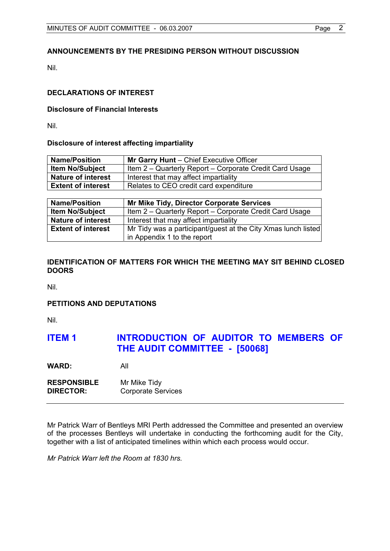### **ANNOUNCEMENTS BY THE PRESIDING PERSON WITHOUT DISCUSSION**

Nil.

#### **DECLARATIONS OF INTEREST**

#### **Disclosure of Financial Interests**

Nil.

#### **Disclosure of interest affecting impartiality**

| <b>Name/Position</b>      | Mr Garry Hunt - Chief Executive Officer                 |  |
|---------------------------|---------------------------------------------------------|--|
| <b>Item No/Subject</b>    | Item 2 – Quarterly Report – Corporate Credit Card Usage |  |
| <b>Nature of interest</b> | Interest that may affect impartiality                   |  |
| <b>Extent of interest</b> | Relates to CEO credit card expenditure                  |  |

| <b>Name/Position</b>      | Mr Mike Tidy, Director Corporate Services                     |
|---------------------------|---------------------------------------------------------------|
| <b>Item No/Subject</b>    | Item 2 – Quarterly Report – Corporate Credit Card Usage       |
| <b>Nature of interest</b> | Interest that may affect impartiality                         |
| <b>Extent of interest</b> | Mr Tidy was a participant/guest at the City Xmas lunch listed |
|                           | in Appendix 1 to the report                                   |

#### **IDENTIFICATION OF MATTERS FOR WHICH THE MEETING MAY SIT BEHIND CLOSED DOORS**

Nil.

#### **PETITIONS AND DEPUTATIONS**

Nil.

## **ITEM 1 INTRODUCTION OF AUDITOR TO MEMBERS OF THE AUDIT COMMITTEE - [50068]**

**WARD:** All

| <b>RESPONSIBLE</b> | Mr Mike Tidy              |
|--------------------|---------------------------|
| <b>DIRECTOR:</b>   | <b>Corporate Services</b> |

Mr Patrick Warr of Bentleys MRI Perth addressed the Committee and presented an overview of the processes Bentleys will undertake in conducting the forthcoming audit for the City, together with a list of anticipated timelines within which each process would occur.

*Mr Patrick Warr left the Room at 1830 hrs.*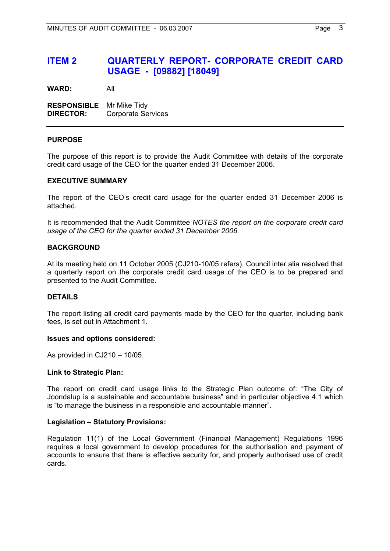## **ITEM 2 QUARTERLY REPORT- CORPORATE CREDIT CARD USAGE - [09882] [18049]**

**WARD:** All

**RESPONSIBLE** Mr Mike Tidy **DIRECTOR:** Corporate Services

#### **PURPOSE**

The purpose of this report is to provide the Audit Committee with details of the corporate credit card usage of the CEO for the quarter ended 31 December 2006.

#### **EXECUTIVE SUMMARY**

The report of the CEO's credit card usage for the quarter ended 31 December 2006 is attached.

It is recommended that the Audit Committee *NOTES the report on the corporate credit card usage of the CEO for the quarter ended 31 December 2006.* 

#### **BACKGROUND**

At its meeting held on 11 October 2005 (CJ210-10/05 refers), Council inter alia resolved that a quarterly report on the corporate credit card usage of the CEO is to be prepared and presented to the Audit Committee.

#### **DETAILS**

The report listing all credit card payments made by the CEO for the quarter, including bank fees, is set out in Attachment 1.

#### **Issues and options considered:**

As provided in CJ210 – 10/05.

#### **Link to Strategic Plan:**

The report on credit card usage links to the Strategic Plan outcome of: "The City of Joondalup is a sustainable and accountable business" and in particular objective 4.1 which is "to manage the business in a responsible and accountable manner".

#### **Legislation – Statutory Provisions:**

Regulation 11(1) of the Local Government (Financial Management) Regulations 1996 requires a local government to develop procedures for the authorisation and payment of accounts to ensure that there is effective security for, and properly authorised use of credit cards.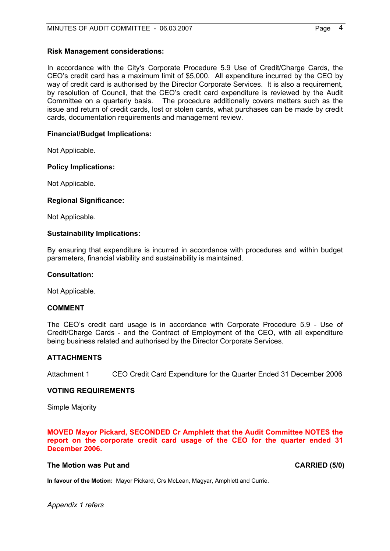#### **Risk Management considerations:**

In accordance with the City's Corporate Procedure 5.9 Use of Credit/Charge Cards, the CEO's credit card has a maximum limit of \$5,000. All expenditure incurred by the CEO by way of credit card is authorised by the Director Corporate Services. It is also a requirement, by resolution of Council, that the CEO's credit card expenditure is reviewed by the Audit Committee on a quarterly basis. The procedure additionally covers matters such as the issue and return of credit cards, lost or stolen cards, what purchases can be made by credit cards, documentation requirements and management review.

#### **Financial/Budget Implications:**

Not Applicable.

#### **Policy Implications:**

Not Applicable.

#### **Regional Significance:**

Not Applicable.

#### **Sustainability Implications:**

By ensuring that expenditure is incurred in accordance with procedures and within budget parameters, financial viability and sustainability is maintained.

#### **Consultation:**

Not Applicable.

#### **COMMENT**

The CEO's credit card usage is in accordance with Corporate Procedure 5.9 - Use of Credit/Charge Cards - and the Contract of Employment of the CEO, with all expenditure being business related and authorised by the Director Corporate Services.

#### **ATTACHMENTS**

Attachment 1 CEO Credit Card Expenditure for the Quarter Ended 31 December 2006

#### **VOTING REQUIREMENTS**

Simple Majority

**MOVED Mayor Pickard, SECONDED Cr Amphlett that the Audit Committee NOTES the report on the corporate credit card usage of the CEO for the quarter ended 31 December 2006.** 

**In favour of the Motion:** Mayor Pickard, Crs McLean, Magyar, Amphlett and Currie.

#### **The Motion was Put and CARRIED (5/0) CARRIED (5/0)**

*Appendix 1 refers*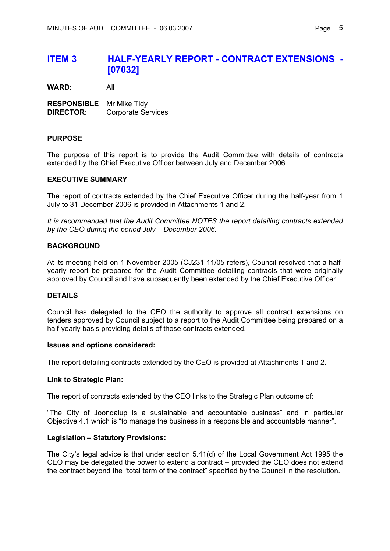## **ITEM 3 HALF-YEARLY REPORT - CONTRACT EXTENSIONS - [07032]**

**WARD:** All

**RESPONSIBLE** Mr Mike Tidy **DIRECTOR:** Corporate Services

#### **PURPOSE**

The purpose of this report is to provide the Audit Committee with details of contracts extended by the Chief Executive Officer between July and December 2006.

#### **EXECUTIVE SUMMARY**

The report of contracts extended by the Chief Executive Officer during the half-year from 1 July to 31 December 2006 is provided in Attachments 1 and 2.

*It is recommended that the Audit Committee NOTES the report detailing contracts extended by the CEO during the period July – December 2006.* 

#### **BACKGROUND**

At its meeting held on 1 November 2005 (CJ231-11/05 refers), Council resolved that a halfyearly report be prepared for the Audit Committee detailing contracts that were originally approved by Council and have subsequently been extended by the Chief Executive Officer.

#### **DETAILS**

Council has delegated to the CEO the authority to approve all contract extensions on tenders approved by Council subject to a report to the Audit Committee being prepared on a half-yearly basis providing details of those contracts extended.

#### **Issues and options considered:**

The report detailing contracts extended by the CEO is provided at Attachments 1 and 2.

#### **Link to Strategic Plan:**

The report of contracts extended by the CEO links to the Strategic Plan outcome of:

"The City of Joondalup is a sustainable and accountable business" and in particular Objective 4.1 which is "to manage the business in a responsible and accountable manner".

#### **Legislation – Statutory Provisions:**

The City's legal advice is that under section 5.41(d) of the Local Government Act 1995 the CEO may be delegated the power to extend a contract – provided the CEO does not extend the contract beyond the "total term of the contract" specified by the Council in the resolution.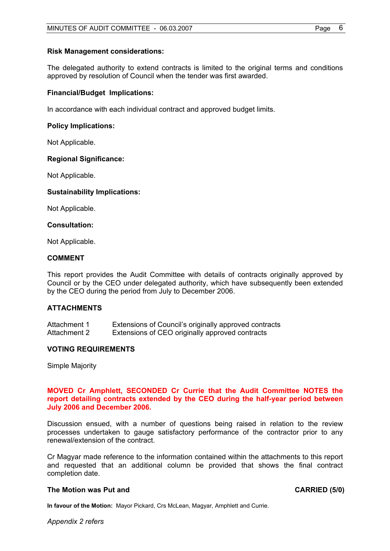#### **Risk Management considerations:**

The delegated authority to extend contracts is limited to the original terms and conditions approved by resolution of Council when the tender was first awarded.

#### **Financial/Budget Implications:**

In accordance with each individual contract and approved budget limits.

#### **Policy Implications:**

Not Applicable.

#### **Regional Significance:**

Not Applicable.

#### **Sustainability Implications:**

Not Applicable.

#### **Consultation:**

Not Applicable.

#### **COMMENT**

This report provides the Audit Committee with details of contracts originally approved by Council or by the CEO under delegated authority, which have subsequently been extended by the CEO during the period from July to December 2006.

#### **ATTACHMENTS**

| Attachment 1 | Extensions of Council's originally approved contracts |
|--------------|-------------------------------------------------------|
| Attachment 2 | Extensions of CEO originally approved contracts       |

#### **VOTING REQUIREMENTS**

Simple Majority

#### **MOVED Cr Amphlett, SECONDED Cr Currie that the Audit Committee NOTES the report detailing contracts extended by the CEO during the half-year period between July 2006 and December 2006.**

Discussion ensued, with a number of questions being raised in relation to the review processes undertaken to gauge satisfactory performance of the contractor prior to any renewal/extension of the contract.

Cr Magyar made reference to the information contained within the attachments to this report and requested that an additional column be provided that shows the final contract completion date.

#### The Motion was Put and **CARRIED** (5/0)

**In favour of the Motion:** Mayor Pickard, Crs McLean, Magyar, Amphlett and Currie.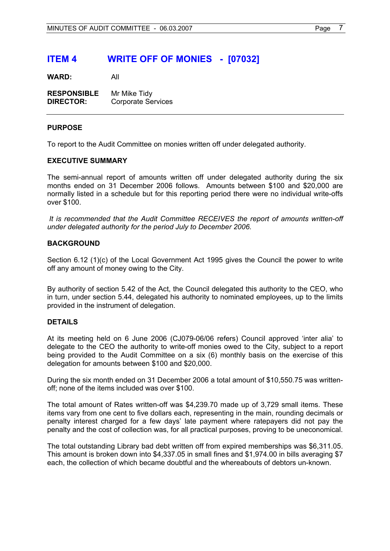## **ITEM 4 WRITE OFF OF MONIES - [07032]**

**WARD:** All

| <b>RESPONSIBLE</b> | Mr Mike Tidy              |
|--------------------|---------------------------|
| <b>DIRECTOR:</b>   | <b>Corporate Services</b> |

#### **PURPOSE**

To report to the Audit Committee on monies written off under delegated authority.

#### **EXECUTIVE SUMMARY**

The semi-annual report of amounts written off under delegated authority during the six months ended on 31 December 2006 follows. Amounts between \$100 and \$20,000 are normally listed in a schedule but for this reporting period there were no individual write-offs over \$100.

 *It is recommended that the Audit Committee RECEIVES the report of amounts written-off under delegated authority for the period July to December 2006.* 

#### **BACKGROUND**

Section 6.12 (1)(c) of the Local Government Act 1995 gives the Council the power to write off any amount of money owing to the City.

By authority of section 5.42 of the Act, the Council delegated this authority to the CEO, who in turn, under section 5.44, delegated his authority to nominated employees, up to the limits provided in the instrument of delegation.

#### **DETAILS**

At its meeting held on 6 June 2006 (CJ079-06/06 refers) Council approved 'inter alia' to delegate to the CEO the authority to write-off monies owed to the City, subject to a report being provided to the Audit Committee on a six (6) monthly basis on the exercise of this delegation for amounts between \$100 and \$20,000.

During the six month ended on 31 December 2006 a total amount of \$10,550.75 was writtenoff; none of the items included was over \$100.

The total amount of Rates written-off was \$4,239.70 made up of 3,729 small items. These items vary from one cent to five dollars each, representing in the main, rounding decimals or penalty interest charged for a few days' late payment where ratepayers did not pay the penalty and the cost of collection was, for all practical purposes, proving to be uneconomical.

The total outstanding Library bad debt written off from expired memberships was \$6,311.05. This amount is broken down into \$4,337.05 in small fines and \$1,974.00 in bills averaging \$7 each, the collection of which became doubtful and the whereabouts of debtors un-known.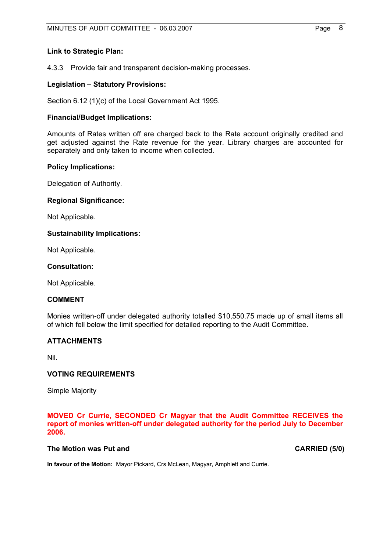#### **Link to Strategic Plan:**

4.3.3 Provide fair and transparent decision-making processes.

#### **Legislation – Statutory Provisions:**

Section 6.12 (1)(c) of the Local Government Act 1995.

#### **Financial/Budget Implications:**

Amounts of Rates written off are charged back to the Rate account originally credited and get adjusted against the Rate revenue for the year. Library charges are accounted for separately and only taken to income when collected.

#### **Policy Implications:**

Delegation of Authority.

#### **Regional Significance:**

Not Applicable.

#### **Sustainability Implications:**

Not Applicable.

#### **Consultation:**

Not Applicable.

#### **COMMENT**

Monies written-off under delegated authority totalled \$10,550.75 made up of small items all of which fell below the limit specified for detailed reporting to the Audit Committee.

#### **ATTACHMENTS**

Nil.

#### **VOTING REQUIREMENTS**

Simple Majority

#### **MOVED Cr Currie, SECONDED Cr Magyar that the Audit Committee RECEIVES the report of monies written-off under delegated authority for the period July to December 2006.**

#### **The Motion was Put and CARRIED (5/0) CARRIED (5/0)**

**In favour of the Motion:** Mayor Pickard, Crs McLean, Magyar, Amphlett and Currie.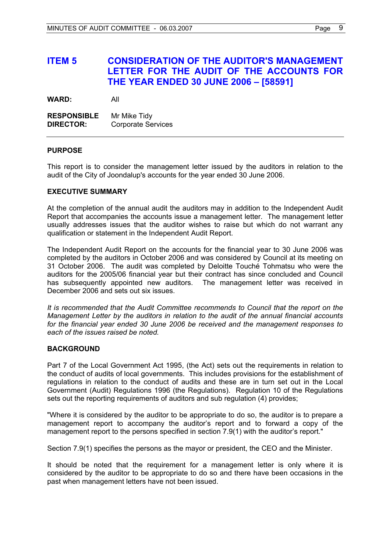## **ITEM 5 CONSIDERATION OF THE AUDITOR'S MANAGEMENT LETTER FOR THE AUDIT OF THE ACCOUNTS FOR THE YEAR ENDED 30 JUNE 2006 – [58591]**

**WARD:** All

**RESPONSIBLE** Mr Mike Tidy **DIRECTOR:** Corporate Services

#### **PURPOSE**

This report is to consider the management letter issued by the auditors in relation to the audit of the City of Joondalup's accounts for the year ended 30 June 2006.

#### **EXECUTIVE SUMMARY**

At the completion of the annual audit the auditors may in addition to the Independent Audit Report that accompanies the accounts issue a management letter. The management letter usually addresses issues that the auditor wishes to raise but which do not warrant any qualification or statement in the Independent Audit Report.

The Independent Audit Report on the accounts for the financial year to 30 June 2006 was completed by the auditors in October 2006 and was considered by Council at its meeting on 31 October 2006. The audit was completed by Deloitte Touché Tohmatsu who were the auditors for the 2005/06 financial year but their contract has since concluded and Council has subsequently appointed new auditors. The management letter was received in December 2006 and sets out six issues.

*It is recommended that the Audit Committee recommends to Council that the report on the Management Letter by the auditors in relation to the audit of the annual financial accounts for the financial year ended 30 June 2006 be received and the management responses to each of the issues raised be noted.* 

#### **BACKGROUND**

Part 7 of the Local Government Act 1995, (the Act) sets out the requirements in relation to the conduct of audits of local governments. This includes provisions for the establishment of regulations in relation to the conduct of audits and these are in turn set out in the Local Government (Audit) Regulations 1996 (the Regulations). Regulation 10 of the Regulations sets out the reporting requirements of auditors and sub regulation (4) provides;

"Where it is considered by the auditor to be appropriate to do so, the auditor is to prepare a management report to accompany the auditor's report and to forward a copy of the management report to the persons specified in section 7.9(1) with the auditor's report."

Section 7.9(1) specifies the persons as the mayor or president, the CEO and the Minister.

It should be noted that the requirement for a management letter is only where it is considered by the auditor to be appropriate to do so and there have been occasions in the past when management letters have not been issued.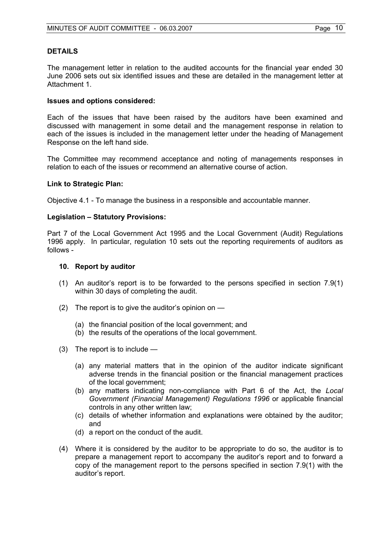#### **DETAILS**

The management letter in relation to the audited accounts for the financial year ended 30 June 2006 sets out six identified issues and these are detailed in the management letter at Attachment 1.

#### **Issues and options considered:**

Each of the issues that have been raised by the auditors have been examined and discussed with management in some detail and the management response in relation to each of the issues is included in the management letter under the heading of Management Response on the left hand side.

The Committee may recommend acceptance and noting of managements responses in relation to each of the issues or recommend an alternative course of action.

#### **Link to Strategic Plan:**

Objective 4.1 - To manage the business in a responsible and accountable manner.

#### **Legislation – Statutory Provisions:**

Part 7 of the Local Government Act 1995 and the Local Government (Audit) Regulations 1996 apply. In particular, regulation 10 sets out the reporting requirements of auditors as follows -

#### **10. Report by auditor**

- (1) An auditor's report is to be forwarded to the persons specified in section 7.9(1) within 30 days of completing the audit.
- (2) The report is to give the auditor's opinion on
	- (a) the financial position of the local government; and
	- (b) the results of the operations of the local government.
- (3) The report is to include
	- (a) any material matters that in the opinion of the auditor indicate significant adverse trends in the financial position or the financial management practices of the local government;
	- (b) any matters indicating non-compliance with Part 6 of the Act, the *Local Government (Financial Management) Regulations 1996* or applicable financial controls in any other written law;
	- (c) details of whether information and explanations were obtained by the auditor; and
	- (d) a report on the conduct of the audit.
- (4) Where it is considered by the auditor to be appropriate to do so, the auditor is to prepare a management report to accompany the auditor's report and to forward a copy of the management report to the persons specified in section 7.9(1) with the auditor's report.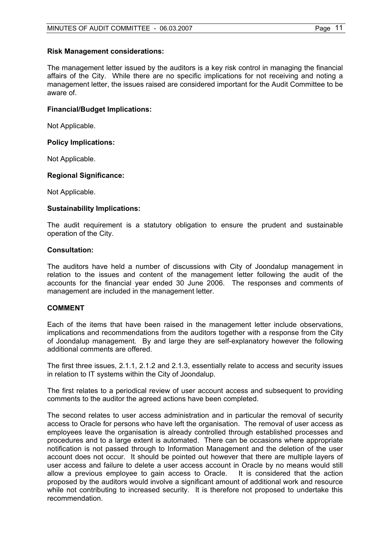#### **Risk Management considerations:**

The management letter issued by the auditors is a key risk control in managing the financial affairs of the City. While there are no specific implications for not receiving and noting a management letter, the issues raised are considered important for the Audit Committee to be aware of.

#### **Financial/Budget Implications:**

Not Applicable.

#### **Policy Implications:**

Not Applicable.

#### **Regional Significance:**

Not Applicable.

#### **Sustainability Implications:**

The audit requirement is a statutory obligation to ensure the prudent and sustainable operation of the City.

#### **Consultation:**

The auditors have held a number of discussions with City of Joondalup management in relation to the issues and content of the management letter following the audit of the accounts for the financial year ended 30 June 2006. The responses and comments of management are included in the management letter.

#### **COMMENT**

Each of the items that have been raised in the management letter include observations, implications and recommendations from the auditors together with a response from the City of Joondalup management. By and large they are self-explanatory however the following additional comments are offered.

The first three issues, 2.1.1, 2.1.2 and 2.1.3, essentially relate to access and security issues in relation to IT systems within the City of Joondalup.

The first relates to a periodical review of user account access and subsequent to providing comments to the auditor the agreed actions have been completed.

The second relates to user access administration and in particular the removal of security access to Oracle for persons who have left the organisation. The removal of user access as employees leave the organisation is already controlled through established processes and procedures and to a large extent is automated. There can be occasions where appropriate notification is not passed through to Information Management and the deletion of the user account does not occur. It should be pointed out however that there are multiple layers of user access and failure to delete a user access account in Oracle by no means would still allow a previous employee to gain access to Oracle. It is considered that the action proposed by the auditors would involve a significant amount of additional work and resource while not contributing to increased security. It is therefore not proposed to undertake this recommendation.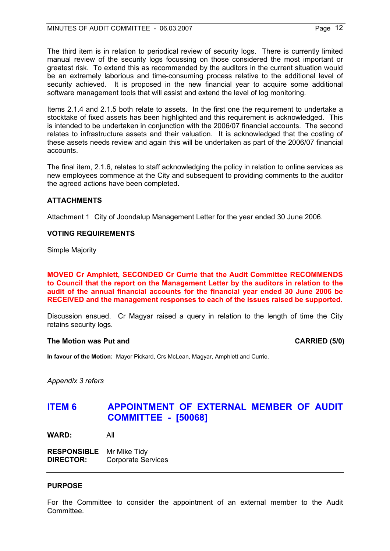The third item is in relation to periodical review of security logs. There is currently limited manual review of the security logs focussing on those considered the most important or greatest risk. To extend this as recommended by the auditors in the current situation would be an extremely laborious and time-consuming process relative to the additional level of security achieved. It is proposed in the new financial year to acquire some additional software management tools that will assist and extend the level of log monitoring.

Items 2.1.4 and 2.1.5 both relate to assets. In the first one the requirement to undertake a stocktake of fixed assets has been highlighted and this requirement is acknowledged. This is intended to be undertaken in conjunction with the 2006/07 financial accounts. The second relates to infrastructure assets and their valuation. It is acknowledged that the costing of these assets needs review and again this will be undertaken as part of the 2006/07 financial accounts.

The final item, 2.1.6, relates to staff acknowledging the policy in relation to online services as new employees commence at the City and subsequent to providing comments to the auditor the agreed actions have been completed.

#### **ATTACHMENTS**

Attachment 1 City of Joondalup Management Letter for the year ended 30 June 2006.

#### **VOTING REQUIREMENTS**

Simple Majority

**MOVED Cr Amphlett, SECONDED Cr Currie that the Audit Committee RECOMMENDS to Council that the report on the Management Letter by the auditors in relation to the audit of the annual financial accounts for the financial year ended 30 June 2006 be RECEIVED and the management responses to each of the issues raised be supported.** 

Discussion ensued. Cr Magyar raised a query in relation to the length of time the City retains security logs.

#### The Motion was Put and **CARRIED** (5/0)

**In favour of the Motion:** Mayor Pickard, Crs McLean, Magyar, Amphlett and Currie.

*Appendix 3 refers* 

## **ITEM 6 APPOINTMENT OF EXTERNAL MEMBER OF AUDIT COMMITTEE - [50068]**

**WARD:** All

**RESPONSIBLE** Mr Mike Tidy **DIRECTOR:** Corporate Services

#### **PURPOSE**

For the Committee to consider the appointment of an external member to the Audit Committee.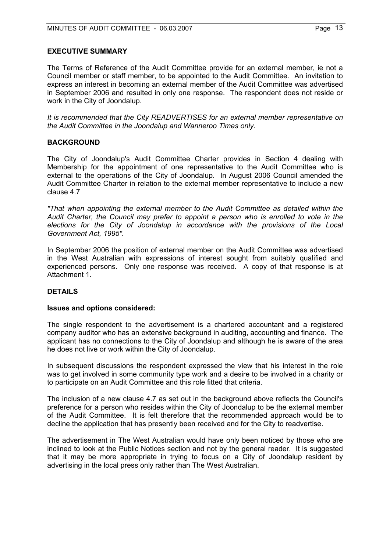#### **EXECUTIVE SUMMARY**

The Terms of Reference of the Audit Committee provide for an external member, ie not a Council member or staff member, to be appointed to the Audit Committee. An invitation to express an interest in becoming an external member of the Audit Committee was advertised in September 2006 and resulted in only one response. The respondent does not reside or work in the City of Joondalup.

*It is recommended that the City READVERTISES for an external member representative on the Audit Committee in the Joondalup and Wanneroo Times only.* 

#### **BACKGROUND**

The City of Joondalup's Audit Committee Charter provides in Section 4 dealing with Membership for the appointment of one representative to the Audit Committee who is external to the operations of the City of Joondalup. In August 2006 Council amended the Audit Committee Charter in relation to the external member representative to include a new clause 4.7

*"That when appointing the external member to the Audit Committee as detailed within the Audit Charter, the Council may prefer to appoint a person who is enrolled to vote in the elections for the City of Joondalup in accordance with the provisions of the Local Government Act, 1995".* 

In September 2006 the position of external member on the Audit Committee was advertised in the West Australian with expressions of interest sought from suitably qualified and experienced persons. Only one response was received. A copy of that response is at Attachment 1.

#### **DETAILS**

#### **Issues and options considered:**

The single respondent to the advertisement is a chartered accountant and a registered company auditor who has an extensive background in auditing, accounting and finance. The applicant has no connections to the City of Joondalup and although he is aware of the area he does not live or work within the City of Joondalup.

In subsequent discussions the respondent expressed the view that his interest in the role was to get involved in some community type work and a desire to be involved in a charity or to participate on an Audit Committee and this role fitted that criteria.

The inclusion of a new clause 4.7 as set out in the background above reflects the Council's preference for a person who resides within the City of Joondalup to be the external member of the Audit Committee. It is felt therefore that the recommended approach would be to decline the application that has presently been received and for the City to readvertise.

The advertisement in The West Australian would have only been noticed by those who are inclined to look at the Public Notices section and not by the general reader. It is suggested that it may be more appropriate in trying to focus on a City of Joondalup resident by advertising in the local press only rather than The West Australian.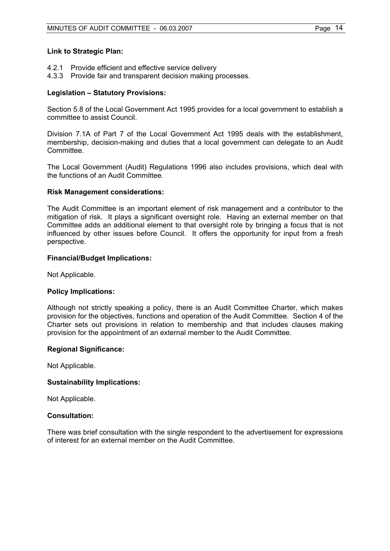#### **Link to Strategic Plan:**

- 4.2.1 Provide efficient and effective service delivery
- 4.3.3 Provide fair and transparent decision making processes.

#### **Legislation – Statutory Provisions:**

Section 5.8 of the Local Government Act 1995 provides for a local government to establish a committee to assist Council.

Division 7.1A of Part 7 of the Local Government Act 1995 deals with the establishment, membership, decision-making and duties that a local government can delegate to an Audit Committee.

The Local Government (Audit) Regulations 1996 also includes provisions, which deal with the functions of an Audit Committee.

#### **Risk Management considerations:**

The Audit Committee is an important element of risk management and a contributor to the mitigation of risk. It plays a significant oversight role. Having an external member on that Committee adds an additional element to that oversight role by bringing a focus that is not influenced by other issues before Council. It offers the opportunity for input from a fresh perspective.

#### **Financial/Budget Implications:**

Not Applicable.

#### **Policy Implications:**

Although not strictly speaking a policy, there is an Audit Committee Charter, which makes provision for the objectives, functions and operation of the Audit Committee. Section 4 of the Charter sets out provisions in relation to membership and that includes clauses making provision for the appointment of an external member to the Audit Committee.

#### **Regional Significance:**

Not Applicable.

#### **Sustainability Implications:**

Not Applicable.

#### **Consultation:**

There was brief consultation with the single respondent to the advertisement for expressions of interest for an external member on the Audit Committee.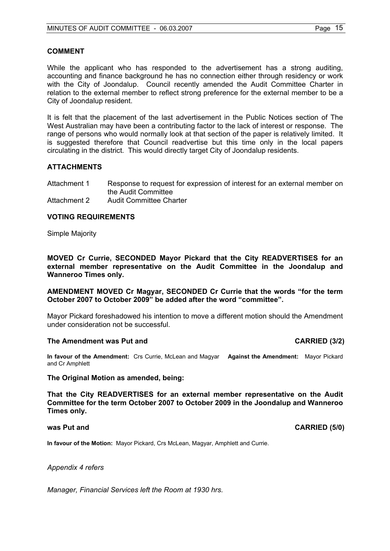#### **COMMENT**

While the applicant who has responded to the advertisement has a strong auditing, accounting and finance background he has no connection either through residency or work with the City of Joondalup. Council recently amended the Audit Committee Charter in relation to the external member to reflect strong preference for the external member to be a City of Joondalup resident.

It is felt that the placement of the last advertisement in the Public Notices section of The West Australian may have been a contributing factor to the lack of interest or response. The range of persons who would normally look at that section of the paper is relatively limited. It is suggested therefore that Council readvertise but this time only in the local papers circulating in the district. This would directly target City of Joondalup residents.

#### **ATTACHMENTS**

Attachment 1 Response to request for expression of interest for an external member on the Audit Committee Attachment 2 Audit Committee Charter

#### **VOTING REQUIREMENTS**

Simple Majority

**MOVED Cr Currie, SECONDED Mayor Pickard that the City READVERTISES for an external member representative on the Audit Committee in the Joondalup and Wanneroo Times only.** 

**AMENDMENT MOVED Cr Magyar, SECONDED Cr Currie that the words "for the term October 2007 to October 2009" be added after the word "committee".** 

Mayor Pickard foreshadowed his intention to move a different motion should the Amendment under consideration not be successful.

#### The Amendment was Put and **CARRIED** (3/2)

**In favour of the Amendment:** Crs Currie, McLean and Magyar **Against the Amendment:** Mayor Pickard and Cr Amphlett

#### **The Original Motion as amended, being:**

**That the City READVERTISES for an external member representative on the Audit Committee for the term October 2007 to October 2009 in the Joondalup and Wanneroo Times only.** 

#### **was Put and CARRIED (5/0) CARRIED (5/0)**

**In favour of the Motion:** Mayor Pickard, Crs McLean, Magyar, Amphlett and Currie.

*Appendix 4 refers* 

*Manager, Financial Services left the Room at 1930 hrs.*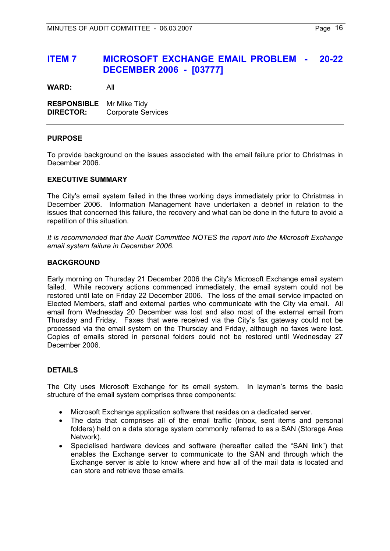## **ITEM 7 MICROSOFT EXCHANGE EMAIL PROBLEM - 20-22 DECEMBER 2006 - [03777]**

**WARD:** All

**RESPONSIBLE** Mr Mike Tidy **DIRECTOR:** Corporate Services

#### **PURPOSE**

To provide background on the issues associated with the email failure prior to Christmas in December 2006.

#### **EXECUTIVE SUMMARY**

The City's email system failed in the three working days immediately prior to Christmas in December 2006. Information Management have undertaken a debrief in relation to the issues that concerned this failure, the recovery and what can be done in the future to avoid a repetition of this situation.

*It is recommended that the Audit Committee NOTES the report into the Microsoft Exchange email system failure in December 2006.* 

#### **BACKGROUND**

Early morning on Thursday 21 December 2006 the City's Microsoft Exchange email system failed. While recovery actions commenced immediately, the email system could not be restored until late on Friday 22 December 2006. The loss of the email service impacted on Elected Members, staff and external parties who communicate with the City via email. All email from Wednesday 20 December was lost and also most of the external email from Thursday and Friday. Faxes that were received via the City's fax gateway could not be processed via the email system on the Thursday and Friday, although no faxes were lost. Copies of emails stored in personal folders could not be restored until Wednesday 27 December 2006.

#### **DETAILS**

The City uses Microsoft Exchange for its email system. In layman's terms the basic structure of the email system comprises three components:

- Microsoft Exchange application software that resides on a dedicated server.
- The data that comprises all of the email traffic (inbox, sent items and personal folders) held on a data storage system commonly referred to as a SAN (Storage Area Network).
- Specialised hardware devices and software (hereafter called the "SAN link") that enables the Exchange server to communicate to the SAN and through which the Exchange server is able to know where and how all of the mail data is located and can store and retrieve those emails.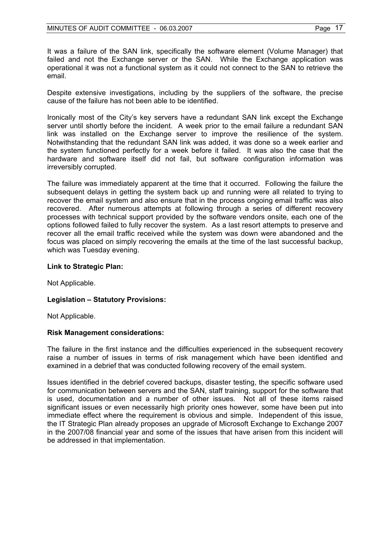It was a failure of the SAN link, specifically the software element (Volume Manager) that failed and not the Exchange server or the SAN. While the Exchange application was operational it was not a functional system as it could not connect to the SAN to retrieve the email.

Despite extensive investigations, including by the suppliers of the software, the precise cause of the failure has not been able to be identified.

Ironically most of the City's key servers have a redundant SAN link except the Exchange server until shortly before the incident. A week prior to the email failure a redundant SAN link was installed on the Exchange server to improve the resilience of the system. Notwithstanding that the redundant SAN link was added, it was done so a week earlier and the system functioned perfectly for a week before it failed. It was also the case that the hardware and software itself did not fail, but software configuration information was irreversibly corrupted.

The failure was immediately apparent at the time that it occurred. Following the failure the subsequent delays in getting the system back up and running were all related to trying to recover the email system and also ensure that in the process ongoing email traffic was also recovered. After numerous attempts at following through a series of different recovery processes with technical support provided by the software vendors onsite, each one of the options followed failed to fully recover the system. As a last resort attempts to preserve and recover all the email traffic received while the system was down were abandoned and the focus was placed on simply recovering the emails at the time of the last successful backup, which was Tuesday evening.

#### **Link to Strategic Plan:**

Not Applicable.

#### **Legislation – Statutory Provisions:**

Not Applicable.

#### **Risk Management considerations:**

The failure in the first instance and the difficulties experienced in the subsequent recovery raise a number of issues in terms of risk management which have been identified and examined in a debrief that was conducted following recovery of the email system.

Issues identified in the debrief covered backups, disaster testing, the specific software used for communication between servers and the SAN, staff training, support for the software that is used, documentation and a number of other issues. Not all of these items raised significant issues or even necessarily high priority ones however, some have been put into immediate effect where the requirement is obvious and simple. Independent of this issue, the IT Strategic Plan already proposes an upgrade of Microsoft Exchange to Exchange 2007 in the 2007/08 financial year and some of the issues that have arisen from this incident will be addressed in that implementation.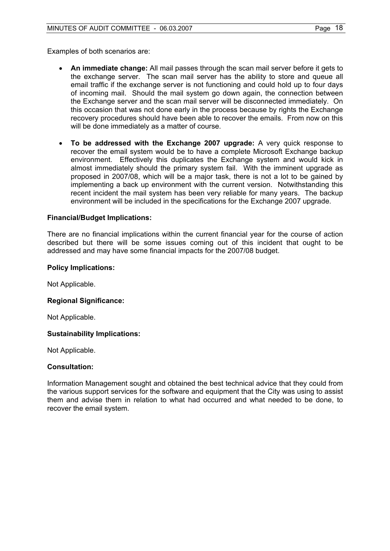Examples of both scenarios are:

- **An immediate change:** All mail passes through the scan mail server before it gets to the exchange server. The scan mail server has the ability to store and queue all email traffic if the exchange server is not functioning and could hold up to four days of incoming mail. Should the mail system go down again, the connection between the Exchange server and the scan mail server will be disconnected immediately. On this occasion that was not done early in the process because by rights the Exchange recovery procedures should have been able to recover the emails. From now on this will be done immediately as a matter of course.
- **To be addressed with the Exchange 2007 upgrade:** A very quick response to recover the email system would be to have a complete Microsoft Exchange backup environment. Effectively this duplicates the Exchange system and would kick in almost immediately should the primary system fail. With the imminent upgrade as proposed in 2007/08, which will be a major task, there is not a lot to be gained by implementing a back up environment with the current version. Notwithstanding this recent incident the mail system has been very reliable for many years. The backup environment will be included in the specifications for the Exchange 2007 upgrade.

#### **Financial/Budget Implications:**

There are no financial implications within the current financial year for the course of action described but there will be some issues coming out of this incident that ought to be addressed and may have some financial impacts for the 2007/08 budget.

#### **Policy Implications:**

Not Applicable.

#### **Regional Significance:**

Not Applicable.

#### **Sustainability Implications:**

Not Applicable.

#### **Consultation:**

Information Management sought and obtained the best technical advice that they could from the various support services for the software and equipment that the City was using to assist them and advise them in relation to what had occurred and what needed to be done, to recover the email system.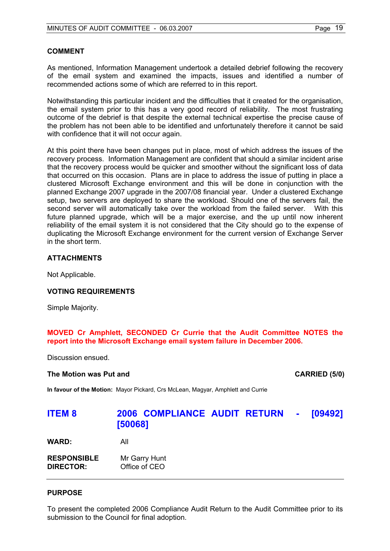#### **COMMENT**

As mentioned, Information Management undertook a detailed debrief following the recovery of the email system and examined the impacts, issues and identified a number of recommended actions some of which are referred to in this report.

Notwithstanding this particular incident and the difficulties that it created for the organisation, the email system prior to this has a very good record of reliability. The most frustrating outcome of the debrief is that despite the external technical expertise the precise cause of the problem has not been able to be identified and unfortunately therefore it cannot be said with confidence that it will not occur again.

At this point there have been changes put in place, most of which address the issues of the recovery process. Information Management are confident that should a similar incident arise that the recovery process would be quicker and smoother without the significant loss of data that occurred on this occasion. Plans are in place to address the issue of putting in place a clustered Microsoft Exchange environment and this will be done in conjunction with the planned Exchange 2007 upgrade in the 2007/08 financial year. Under a clustered Exchange setup, two servers are deployed to share the workload. Should one of the servers fail, the second server will automatically take over the workload from the failed server. With this future planned upgrade, which will be a major exercise, and the up until now inherent reliability of the email system it is not considered that the City should go to the expense of duplicating the Microsoft Exchange environment for the current version of Exchange Server in the short term.

#### **ATTACHMENTS**

Not Applicable.

#### **VOTING REQUIREMENTS**

Simple Majority.

#### **MOVED Cr Amphlett, SECONDED Cr Currie that the Audit Committee NOTES the report into the Microsoft Exchange email system failure in December 2006.**

Discussion ensued.

#### **The Motion was Put and CARRIED (5/0) CARRIED (5/0)**

**In favour of the Motion:** Mayor Pickard, Crs McLean, Magyar, Amphlett and Currie

## **ITEM 8 2006 COMPLIANCE AUDIT RETURN - [09492] [50068]**

**WARD:** All

| <b>RESPONSIBLE</b> | Mr Garry Hunt |
|--------------------|---------------|
| <b>DIRECTOR:</b>   | Office of CEO |

#### **PURPOSE**

To present the completed 2006 Compliance Audit Return to the Audit Committee prior to its submission to the Council for final adoption.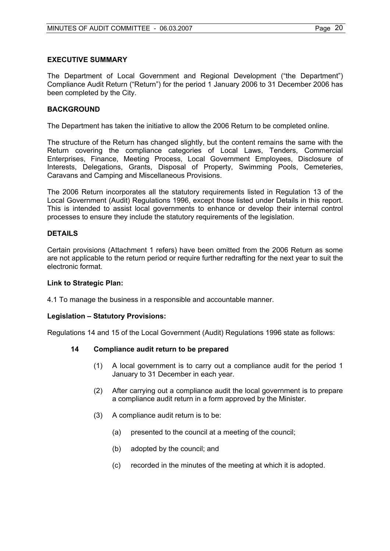#### **EXECUTIVE SUMMARY**

The Department of Local Government and Regional Development ("the Department") Compliance Audit Return ("Return") for the period 1 January 2006 to 31 December 2006 has been completed by the City.

#### **BACKGROUND**

The Department has taken the initiative to allow the 2006 Return to be completed online.

The structure of the Return has changed slightly, but the content remains the same with the Return covering the compliance categories of Local Laws, Tenders, Commercial Enterprises, Finance, Meeting Process, Local Government Employees, Disclosure of Interests, Delegations, Grants, Disposal of Property, Swimming Pools, Cemeteries, Caravans and Camping and Miscellaneous Provisions.

The 2006 Return incorporates all the statutory requirements listed in Regulation 13 of the Local Government (Audit) Regulations 1996, except those listed under Details in this report. This is intended to assist local governments to enhance or develop their internal control processes to ensure they include the statutory requirements of the legislation.

#### **DETAILS**

Certain provisions (Attachment 1 refers) have been omitted from the 2006 Return as some are not applicable to the return period or require further redrafting for the next year to suit the electronic format.

#### **Link to Strategic Plan:**

4.1 To manage the business in a responsible and accountable manner.

#### **Legislation – Statutory Provisions:**

Regulations 14 and 15 of the Local Government (Audit) Regulations 1996 state as follows:

#### **14 Compliance audit return to be prepared**

- (1) A local government is to carry out a compliance audit for the period 1 January to 31 December in each year.
- (2) After carrying out a compliance audit the local government is to prepare a compliance audit return in a form approved by the Minister.
- (3) A compliance audit return is to be:
	- (a) presented to the council at a meeting of the council;
	- (b) adopted by the council; and
	- (c) recorded in the minutes of the meeting at which it is adopted.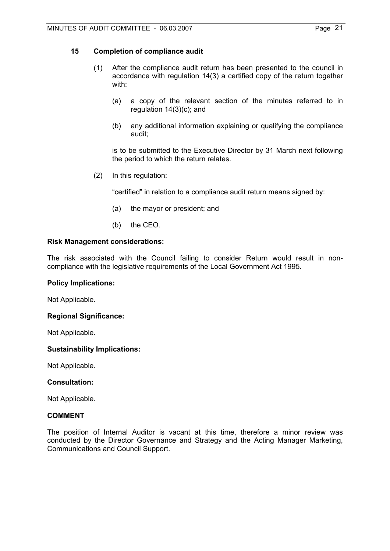#### **15 Completion of compliance audit**

- (1) After the compliance audit return has been presented to the council in accordance with regulation 14(3) a certified copy of the return together with:
	- (a) a copy of the relevant section of the minutes referred to in regulation 14(3)(c); and
	- (b) any additional information explaining or qualifying the compliance audit;

 is to be submitted to the Executive Director by 31 March next following the period to which the return relates.

(2) In this regulation:

"certified" in relation to a compliance audit return means signed by:

- (a) the mayor or president; and
- (b) the CEO.

#### **Risk Management considerations:**

The risk associated with the Council failing to consider Return would result in noncompliance with the legislative requirements of the Local Government Act 1995.

#### **Policy Implications:**

Not Applicable.

#### **Regional Significance:**

Not Applicable.

#### **Sustainability Implications:**

Not Applicable.

#### **Consultation:**

Not Applicable.

#### **COMMENT**

The position of Internal Auditor is vacant at this time, therefore a minor review was conducted by the Director Governance and Strategy and the Acting Manager Marketing, Communications and Council Support.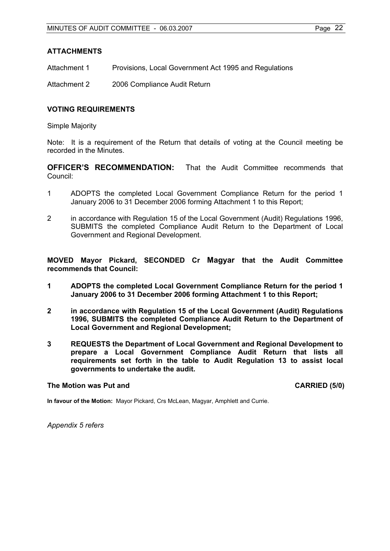#### **ATTACHMENTS**

Attachment 1 Provisions, Local Government Act 1995 and Regulations

Attachment 2 2006 Compliance Audit Return

#### **VOTING REQUIREMENTS**

Simple Majority

Note: It is a requirement of the Return that details of voting at the Council meeting be recorded in the Minutes.

**OFFICER'S RECOMMENDATION:** That the Audit Committee recommends that Council:

- 1 ADOPTS the completed Local Government Compliance Return for the period 1 January 2006 to 31 December 2006 forming Attachment 1 to this Report;
- 2 in accordance with Regulation 15 of the Local Government (Audit) Regulations 1996, SUBMITS the completed Compliance Audit Return to the Department of Local Government and Regional Development.

**MOVED Mayor Pickard, SECONDED Cr Magyar that the Audit Committee recommends that Council:** 

- **1 ADOPTS the completed Local Government Compliance Return for the period 1 January 2006 to 31 December 2006 forming Attachment 1 to this Report;**
- **2 in accordance with Regulation 15 of the Local Government (Audit) Regulations 1996, SUBMITS the completed Compliance Audit Return to the Department of Local Government and Regional Development;**
- **3 REQUESTS the Department of Local Government and Regional Development to prepare a Local Government Compliance Audit Return that lists all requirements set forth in the table to Audit Regulation 13 to assist local governments to undertake the audit.**

#### **The Motion was Put and CARRIED (5/0) CARRIED (5/0)**

**In favour of the Motion:** Mayor Pickard, Crs McLean, Magyar, Amphlett and Currie.

*Appendix 5 refers*